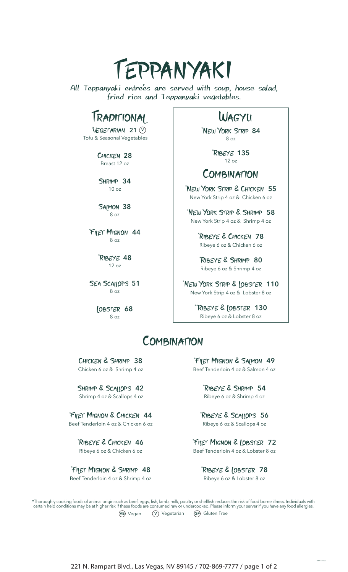

All Teppanyaki entre'es are served with soup, house salad, fried rice and Teppanyaki vegetables.

# Traditional Wagyu

Vegetarian **21 V** Tofu & Seasonal Vegetables

> Chicken **28** Breast 12 oz

SHRIMP 34 10 oz

SAIMON 38 8 oz

\* Filet Mignon **44** 8 oz

> \* Ribeye **48** 12 oz

SEA SCALLOPS 51 8 oz

> Lobster **68** 8 oz

\* New York Strip **84** 8 oz

> \* Ribeye **135** 12 oz

### COMBINATION

\* New York Strip & Chicken **55** New York Strip 4 oz & Chicken 6 oz

\* New York Strip & Shrimp **58** New York Strip 4 oz & Shrimp 4 oz

> \* Ribeye & Chicken **78** Ribeye 6 oz & Chicken 6 oz

\* Ribeye & Shrimp **80** Ribeye 6 oz & Shrimp 4 oz

\* New York Strip & Lobster **110** New York Strip 4 oz & Lobster 8 oz

> \*\*Ribeye & Lobster **130** Ribeye 6 oz & Lobster 8 oz

## **COMBINATION**

Chicken & Shrimp **38** Chicken 6 oz & Shrimp 4 oz

Shrimp & Scallops **42** Shrimp 4 oz & Scallops 4 oz

\* Filet Mignon & Chicken **44** Beef Tenderloin 4 oz & Chicken 6 oz

> \* Ribeye & Chicken **46** Ribeye 6 oz & Chicken 6 oz

\* Filet Mignon & Shrimp **48** Beef Tenderloin 4 oz & Shrimp 4 oz

\* Filet Mignon & Salmon **49** Beef Tenderloin 4 oz & Salmon 4 oz

> \* Ribeye & Shrimp **54** Ribeye 6 oz & Shrimp 4 oz

\* Ribeye & Scallops **56** Ribeye 6 oz & Scallops 4 oz

\* Filet Mignon & Lobster **72** Beef Tenderloin 4 oz & Lobster 8 oz

> \* Ribeye & Lobster **78** Ribeye 6 oz & Lobster 8 oz

\*Thoroughly cooking foods of animal origin such as beef, eggs, fish, lamb, milk, poultry or shellfish reduces the risk of food borne illness. Individuals with certain held conditions may be at higher risk if these foods are consumed raw or undercooked. Please inform your server if you have any food allergies. **VE** Vegan **V** Vegetarian **GF** Gluten Free

01132022